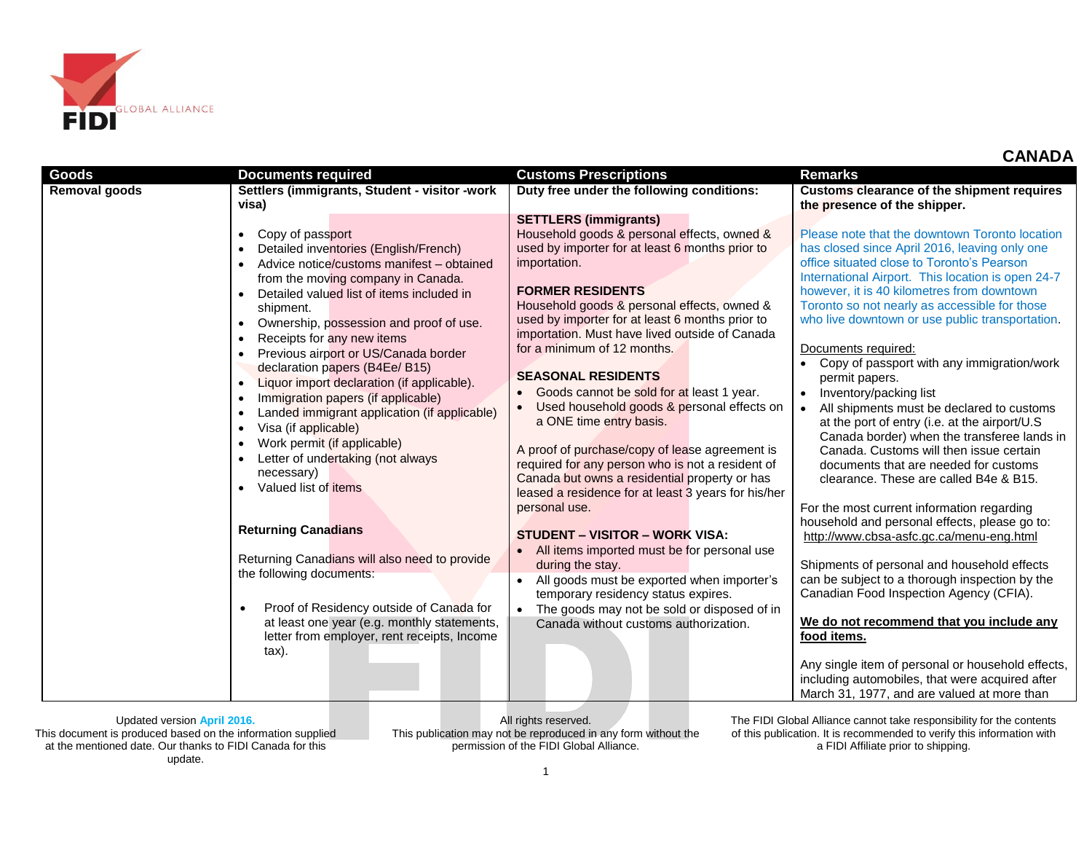

|  |  |  |  |  |  | <b>CANADA</b> |
|--|--|--|--|--|--|---------------|
|--|--|--|--|--|--|---------------|

| Goods                | <b>Documents required</b>                                                                                                                                                                                                                                                                                                                                                                                                                                                                                                                                                                                                                                                                                                                                                                                                                                                                                                                                                                                          | <b>Customs Prescriptions</b>                                                                                                                                                                                                                                                                                                                                                                                                                                                                                                                                                                                                                                                                                                                                                                                                                                                                                                                                                                                                            | <b>Remarks</b>                                                                                                                                                                                                                                                                                                                                                                                                                                                                                                                                                                                                                                                                                                                                                                                                                                                                                                                                                                                                                                                                                                                                                                                                                                            |
|----------------------|--------------------------------------------------------------------------------------------------------------------------------------------------------------------------------------------------------------------------------------------------------------------------------------------------------------------------------------------------------------------------------------------------------------------------------------------------------------------------------------------------------------------------------------------------------------------------------------------------------------------------------------------------------------------------------------------------------------------------------------------------------------------------------------------------------------------------------------------------------------------------------------------------------------------------------------------------------------------------------------------------------------------|-----------------------------------------------------------------------------------------------------------------------------------------------------------------------------------------------------------------------------------------------------------------------------------------------------------------------------------------------------------------------------------------------------------------------------------------------------------------------------------------------------------------------------------------------------------------------------------------------------------------------------------------------------------------------------------------------------------------------------------------------------------------------------------------------------------------------------------------------------------------------------------------------------------------------------------------------------------------------------------------------------------------------------------------|-----------------------------------------------------------------------------------------------------------------------------------------------------------------------------------------------------------------------------------------------------------------------------------------------------------------------------------------------------------------------------------------------------------------------------------------------------------------------------------------------------------------------------------------------------------------------------------------------------------------------------------------------------------------------------------------------------------------------------------------------------------------------------------------------------------------------------------------------------------------------------------------------------------------------------------------------------------------------------------------------------------------------------------------------------------------------------------------------------------------------------------------------------------------------------------------------------------------------------------------------------------|
| <b>Removal goods</b> | Settlers (immigrants, Student - visitor -work                                                                                                                                                                                                                                                                                                                                                                                                                                                                                                                                                                                                                                                                                                                                                                                                                                                                                                                                                                      | Duty free under the following conditions:                                                                                                                                                                                                                                                                                                                                                                                                                                                                                                                                                                                                                                                                                                                                                                                                                                                                                                                                                                                               | Customs clearance of the shipment requires                                                                                                                                                                                                                                                                                                                                                                                                                                                                                                                                                                                                                                                                                                                                                                                                                                                                                                                                                                                                                                                                                                                                                                                                                |
|                      | visa)                                                                                                                                                                                                                                                                                                                                                                                                                                                                                                                                                                                                                                                                                                                                                                                                                                                                                                                                                                                                              |                                                                                                                                                                                                                                                                                                                                                                                                                                                                                                                                                                                                                                                                                                                                                                                                                                                                                                                                                                                                                                         | the presence of the shipper.                                                                                                                                                                                                                                                                                                                                                                                                                                                                                                                                                                                                                                                                                                                                                                                                                                                                                                                                                                                                                                                                                                                                                                                                                              |
|                      | Copy of passport<br>$\bullet$<br>Detailed inventories (English/French)<br>$\bullet$<br>Advice notice/customs manifest – obtained<br>from the moving company in Canada.<br>Detailed valued list of items included in<br>shipment.<br>Ownership, possession and proof of use.<br>$\bullet$<br>Receipts for any new items<br>$\bullet$<br>Previous airport or US/Canada border<br>$\bullet$<br>declaration papers (B4Ee/ B15)<br>Liquor import declaration (if applicable).<br>$\bullet$<br>Immigration papers (if applicable)<br>$\bullet$<br>Landed immigrant application (if applicable)<br>$\bullet$<br>Visa (if applicable)<br>$\bullet$<br>Work permit (if applicable)<br>Letter of undertaking (not always<br>necessary)<br>Valued list of items<br><b>Returning Canadians</b><br>Returning Canadians will also need to provide<br>the following documents:<br>Proof of Residency outside of Canada for<br>at least one year (e.g. monthly statements,<br>letter from employer, rent receipts, Income<br>tax). | <b>SETTLERS (immigrants)</b><br>Household goods & personal effects, owned &<br>used by importer for at least 6 months prior to<br>importation.<br><b>FORMER RESIDENTS</b><br>Household goods & personal effects, owned &<br>used by importer for at least 6 months prior to<br>importation. Must have lived outside of Canada<br>for a minimum of 12 months.<br><b>SEASONAL RESIDENTS</b><br>Goods cannot be sold for at least 1 year.<br>Used household goods & personal effects on<br>a ONE time entry basis.<br>A proof of purchase/copy of lease agreement is<br>required for any person who is not a resident of<br>Canada but owns a residential property or has<br>leased a residence for at least 3 years for his/her<br>personal use.<br><b>STUDENT - VISITOR - WORK VISA:</b><br>All items imported must be for personal use<br>during the stay.<br>All goods must be exported when importer's<br>temporary residency status expires.<br>The goods may not be sold or disposed of in<br>Canada without customs authorization. | Please note that the downtown Toronto location<br>has closed since April 2016, leaving only one<br>office situated close to Toronto's Pearson<br>International Airport. This location is open 24-7<br>however, it is 40 kilometres from downtown<br>Toronto so not nearly as accessible for those<br>who live downtown or use public transportation.<br>Documents required:<br>Copy of passport with any immigration/work<br>permit papers.<br>Inventory/packing list<br>All shipments must be declared to customs<br>at the port of entry (i.e. at the airport/U.S<br>Canada border) when the transferee lands in<br>Canada, Customs will then issue certain<br>documents that are needed for customs<br>clearance. These are called B4e & B15.<br>For the most current information regarding<br>household and personal effects, please go to:<br>http://www.cbsa-asfc.gc.ca/menu-eng.html<br>Shipments of personal and household effects<br>can be subject to a thorough inspection by the<br>Canadian Food Inspection Agency (CFIA).<br>We do not recommend that you include any<br>food items.<br>Any single item of personal or household effects,<br>including automobiles, that were acquired after<br>March 31, 1977, and are valued at more than |

This document is produced based on the information supplied at the mentioned date. Our thanks to FIDI Canada for this update.

All rights reserved. This publication may not be reproduced in any form without the permission of the FIDI Global Alliance.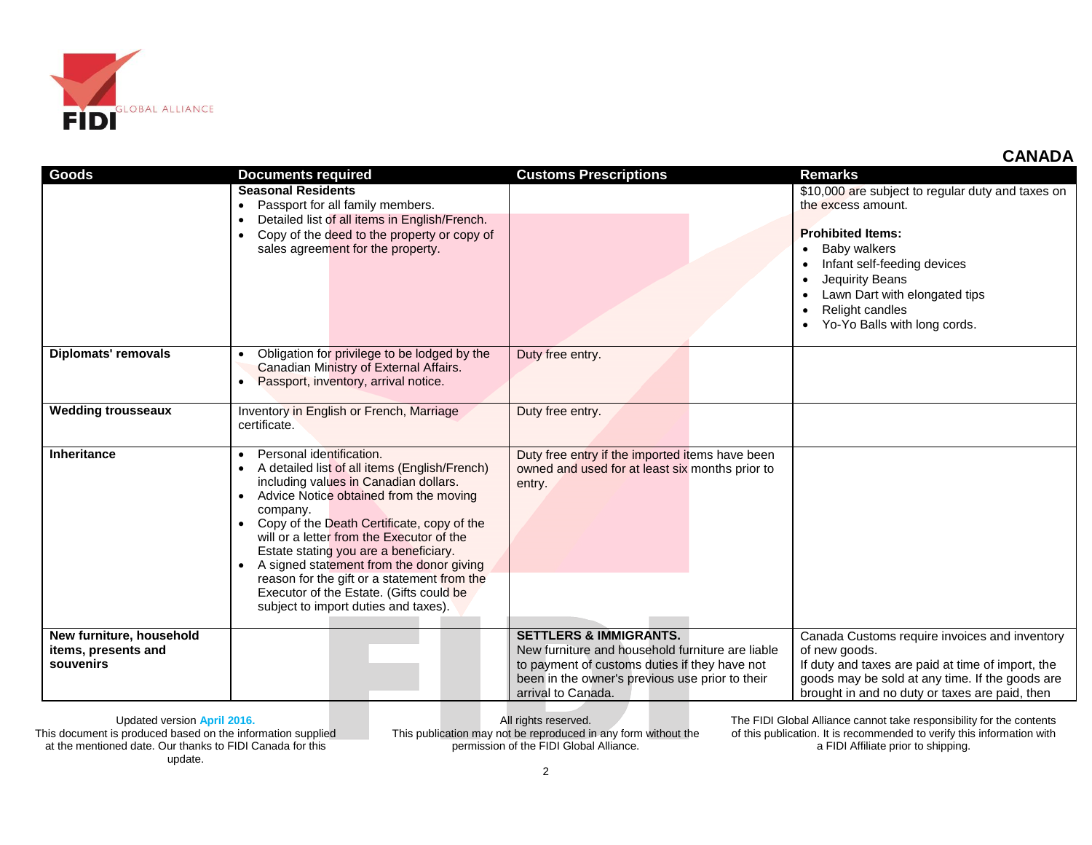

| Goods                                                        | <b>Documents required</b>                                                                                                                                                                                                                                                                                                                                                                                                                                                                                            | <b>Customs Prescriptions</b>                                                                                                                                                                                    | <b>Remarks</b>                                                                                                                                                                                                                                            |
|--------------------------------------------------------------|----------------------------------------------------------------------------------------------------------------------------------------------------------------------------------------------------------------------------------------------------------------------------------------------------------------------------------------------------------------------------------------------------------------------------------------------------------------------------------------------------------------------|-----------------------------------------------------------------------------------------------------------------------------------------------------------------------------------------------------------------|-----------------------------------------------------------------------------------------------------------------------------------------------------------------------------------------------------------------------------------------------------------|
|                                                              | <b>Seasonal Residents</b><br>Passport for all family members.<br>$\bullet$<br>Detailed list of all items in English/French.<br>$\bullet$<br>Copy of the deed to the property or copy of<br>$\bullet$<br>sales agreement for the property.                                                                                                                                                                                                                                                                            |                                                                                                                                                                                                                 | \$10,000 are subject to regular duty and taxes on<br>the excess amount.<br><b>Prohibited Items:</b><br>Baby walkers<br>Infant self-feeding devices<br>Jequirity Beans<br>Lawn Dart with elongated tips<br>Relight candles<br>Yo-Yo Balls with long cords. |
| <b>Diplomats' removals</b>                                   | Obligation for privilege to be lodged by the<br>Canadian Ministry of External Affairs.<br>Passport, inventory, arrival notice.<br>$\bullet$                                                                                                                                                                                                                                                                                                                                                                          | Duty free entry.                                                                                                                                                                                                |                                                                                                                                                                                                                                                           |
| <b>Wedding trousseaux</b>                                    | Inventory in English or French, Marriage<br>certificate.                                                                                                                                                                                                                                                                                                                                                                                                                                                             | Duty free entry.                                                                                                                                                                                                |                                                                                                                                                                                                                                                           |
| <b>Inheritance</b>                                           | Personal identification.<br>A detailed list of all items (English/French)<br>$\bullet$<br>including values in Canadian dollars.<br>Advice Notice obtained from the moving<br>company.<br>Copy of the Death Certificate, copy of the<br>will or a letter from the Executor of the<br>Estate stating you are a beneficiary.<br>A signed statement from the donor giving<br>$\bullet$<br>reason for the gift or a statement from the<br>Executor of the Estate. (Gifts could be<br>subject to import duties and taxes). | Duty free entry if the imported items have been<br>owned and used for at least six months prior to<br>entry.                                                                                                    |                                                                                                                                                                                                                                                           |
| New furniture, household<br>items, presents and<br>souvenirs |                                                                                                                                                                                                                                                                                                                                                                                                                                                                                                                      | <b>SETTLERS &amp; IMMIGRANTS.</b><br>New furniture and household furniture are liable<br>to payment of customs duties if they have not<br>been in the owner's previous use prior to their<br>arrival to Canada. | Canada Customs require invoices and inventory<br>of new goods.<br>If duty and taxes are paid at time of import, the<br>goods may be sold at any time. If the goods are<br>brought in and no duty or taxes are paid, then                                  |

This document is produced based on the information supplied at the mentioned date. Our thanks to FIDI Canada for this update.

All rights reserved. This publication may not be reproduced in any form without the permission of the FIDI Global Alliance.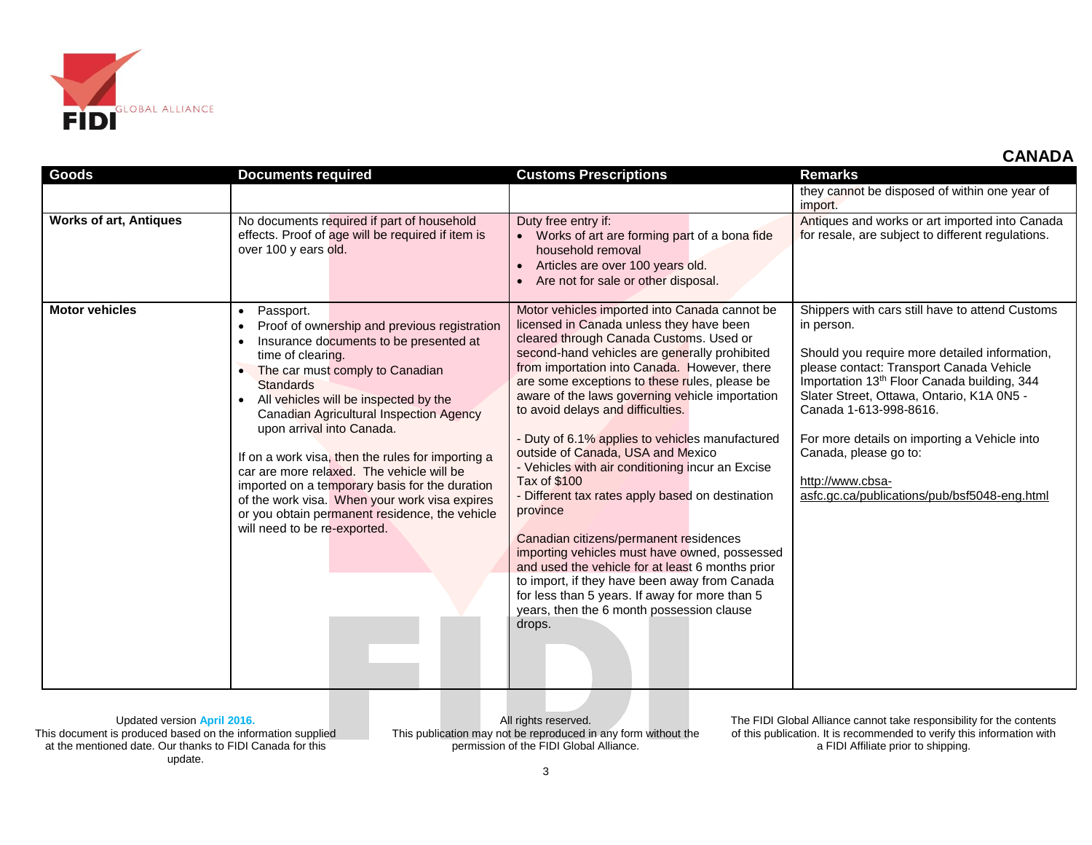

| <b>Goods</b>                  | <b>Documents required</b>                                                                                                                                                                                                                                                                                                                                                                                                                                                                                                                                                                                                | <b>Customs Prescriptions</b>                                                                                                                                                                                                                                                                                                                                                                                                                                                                                                                                                                                                                                                                                                                                                                                                                                                                                             | <b>Remarks</b>                                                                                                                                                                                                                                                                                                                                                                                                                            |
|-------------------------------|--------------------------------------------------------------------------------------------------------------------------------------------------------------------------------------------------------------------------------------------------------------------------------------------------------------------------------------------------------------------------------------------------------------------------------------------------------------------------------------------------------------------------------------------------------------------------------------------------------------------------|--------------------------------------------------------------------------------------------------------------------------------------------------------------------------------------------------------------------------------------------------------------------------------------------------------------------------------------------------------------------------------------------------------------------------------------------------------------------------------------------------------------------------------------------------------------------------------------------------------------------------------------------------------------------------------------------------------------------------------------------------------------------------------------------------------------------------------------------------------------------------------------------------------------------------|-------------------------------------------------------------------------------------------------------------------------------------------------------------------------------------------------------------------------------------------------------------------------------------------------------------------------------------------------------------------------------------------------------------------------------------------|
|                               |                                                                                                                                                                                                                                                                                                                                                                                                                                                                                                                                                                                                                          |                                                                                                                                                                                                                                                                                                                                                                                                                                                                                                                                                                                                                                                                                                                                                                                                                                                                                                                          | they cannot be disposed of within one year of<br>import.                                                                                                                                                                                                                                                                                                                                                                                  |
| <b>Works of art, Antiques</b> | No documents required if part of household<br>effects. Proof of age will be required if item is<br>over 100 y ears old.                                                                                                                                                                                                                                                                                                                                                                                                                                                                                                  | Duty free entry if:<br>• Works of art are forming part of a bona fide<br>household removal<br>Articles are over 100 years old.<br>$\bullet$<br>Are not for sale or other disposal.                                                                                                                                                                                                                                                                                                                                                                                                                                                                                                                                                                                                                                                                                                                                       | Antiques and works or art imported into Canada<br>for resale, are subject to different regulations.                                                                                                                                                                                                                                                                                                                                       |
| <b>Motor vehicles</b>         | Passport.<br>$\bullet$<br>Proof of ownership and previous registration<br>Insurance documents to be presented at<br>$\bullet$<br>time of clearing.<br>The car must comply to Canadian<br><b>Standards</b><br>All vehicles will be inspected by the<br><b>Canadian Agricultural Inspection Agency</b><br>upon arrival into Canada.<br>If on a work visa, then the rules for importing a<br>car are more relaxed. The vehicle will be<br>imported on a temporary basis for the duration<br>of the work visa. When your work visa expires<br>or you obtain permanent residence, the vehicle<br>will need to be re-exported. | Motor vehicles imported into Canada cannot be<br>licensed in Canada unless they have been<br>cleared through Canada Customs. Used or<br>second-hand vehicles are generally prohibited<br>from importation into Canada. However, there<br>are some exceptions to these rules, please be<br>aware of the laws governing vehicle importation<br>to avoid delays and difficulties.<br>Duty of 6.1% applies to vehicles manufactured<br>outside of Canada, USA and Mexico<br>- Vehicles with air conditioning incur an Excise<br><b>Tax of \$100</b><br>- Different tax rates apply based on destination<br>province<br>Canadian citizens/permanent residences<br>importing vehicles must have owned, possessed<br>and used the vehicle for at least 6 months prior<br>to import, if they have been away from Canada<br>for less than 5 years. If away for more than 5<br>years, then the 6 month possession clause<br>drops. | Shippers with cars still have to attend Customs<br>in person.<br>Should you require more detailed information,<br>please contact: Transport Canada Vehicle<br>Importation 13 <sup>th</sup> Floor Canada building, 344<br>Slater Street, Ottawa, Ontario, K1A 0N5 -<br>Canada 1-613-998-8616.<br>For more details on importing a Vehicle into<br>Canada, please go to:<br>http://www.cbsa-<br>asfc.gc.ca/publications/pub/bsf5048-eng.html |

This document is produced based on the information supplied at the mentioned date. Our thanks to FIDI Canada for this update.

All rights reserved. This publication may not be reproduced in any form without the permission of the FIDI Global Alliance.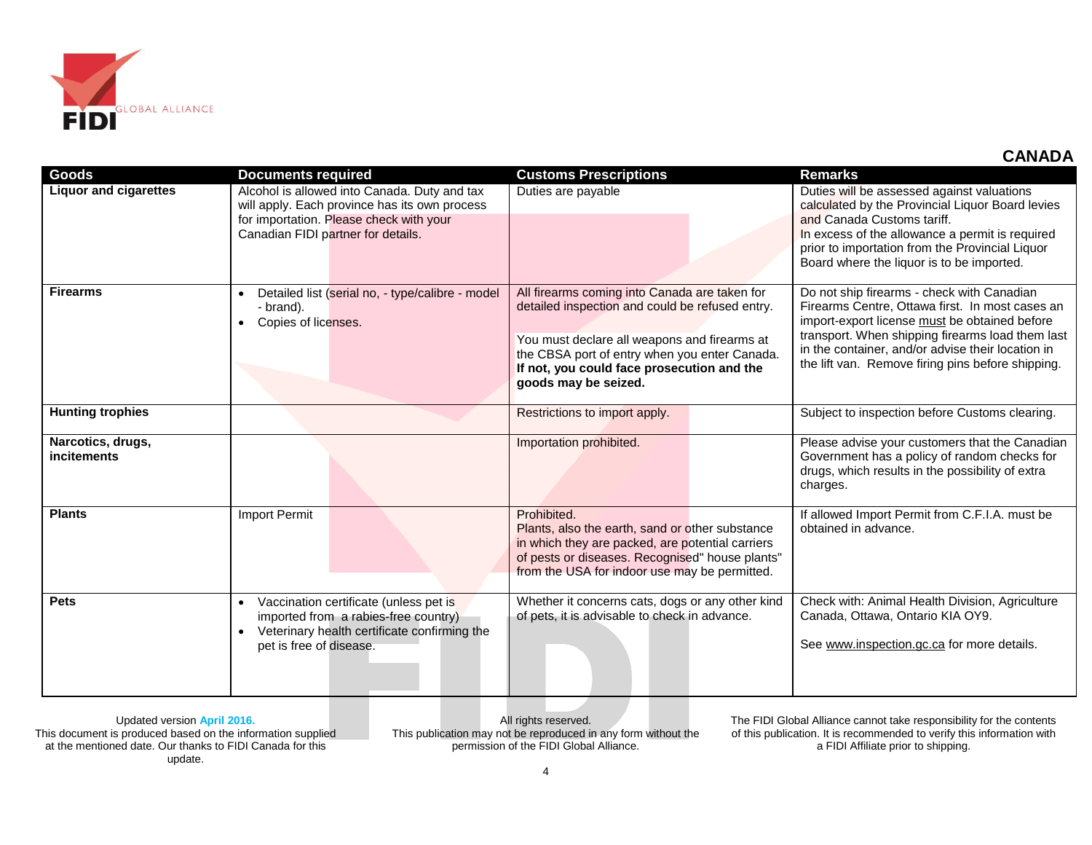

| <b>Goods</b>                            | <b>Documents required</b>                                                                                                                                                      | <b>Customs Prescriptions</b>                                                                                                                                                                                                                                            | <b>Remarks</b>                                                                                                                                                                                                                                                                                               |
|-----------------------------------------|--------------------------------------------------------------------------------------------------------------------------------------------------------------------------------|-------------------------------------------------------------------------------------------------------------------------------------------------------------------------------------------------------------------------------------------------------------------------|--------------------------------------------------------------------------------------------------------------------------------------------------------------------------------------------------------------------------------------------------------------------------------------------------------------|
| <b>Liquor and cigarettes</b>            | Alcohol is allowed into Canada. Duty and tax<br>will apply. Each province has its own process<br>for importation. Please check with your<br>Canadian FIDI partner for details. | Duties are payable                                                                                                                                                                                                                                                      | Duties will be assessed against valuations<br>calculated by the Provincial Liquor Board levies<br>and Canada Customs tariff.<br>In excess of the allowance a permit is required<br>prior to importation from the Provincial Liquor<br>Board where the liquor is to be imported.                              |
| <b>Firearms</b>                         | Detailed list (serial no, - type/calibre - model<br>- brand).<br>Copies of licenses.                                                                                           | All firearms coming into Canada are taken for<br>detailed inspection and could be refused entry.<br>You must declare all weapons and firearms at<br>the CBSA port of entry when you enter Canada.<br>If not, you could face prosecution and the<br>goods may be seized. | Do not ship firearms - check with Canadian<br>Firearms Centre, Ottawa first. In most cases an<br>import-export license must be obtained before<br>transport. When shipping firearms load them last<br>in the container, and/or advise their location in<br>the lift van. Remove firing pins before shipping. |
| <b>Hunting trophies</b>                 |                                                                                                                                                                                | Restrictions to import apply.                                                                                                                                                                                                                                           | Subject to inspection before Customs clearing.                                                                                                                                                                                                                                                               |
| Narcotics, drugs,<br><i>incitements</i> |                                                                                                                                                                                | Importation prohibited.                                                                                                                                                                                                                                                 | Please advise your customers that the Canadian<br>Government has a policy of random checks for<br>drugs, which results in the possibility of extra<br>charges.                                                                                                                                               |
| <b>Plants</b>                           | <b>Import Permit</b>                                                                                                                                                           | Prohibited.<br>Plants, also the earth, sand or other substance<br>in which they are packed, are potential carriers<br>of pests or diseases. Recognised" house plants"<br>from the USA for indoor use may be permitted.                                                  | If allowed Import Permit from C.F.I.A. must be<br>obtained in advance.                                                                                                                                                                                                                                       |
| <b>Pets</b>                             | Vaccination certificate (unless pet is<br>imported from a rabies-free country)<br>Veterinary health certificate confirming the<br>pet is free of disease.                      | Whether it concerns cats, dogs or any other kind<br>of pets, it is advisable to check in advance.                                                                                                                                                                       | Check with: Animal Health Division, Agriculture<br>Canada, Ottawa, Ontario KIA OY9.<br>See www.inspection.gc.ca for more details.                                                                                                                                                                            |

This document is produced based on the information supplied at the mentioned date. Our thanks to FIDI Canada for this update.

All rights reserved. This publication may not be reproduced in any form without the permission of the FIDI Global Alliance.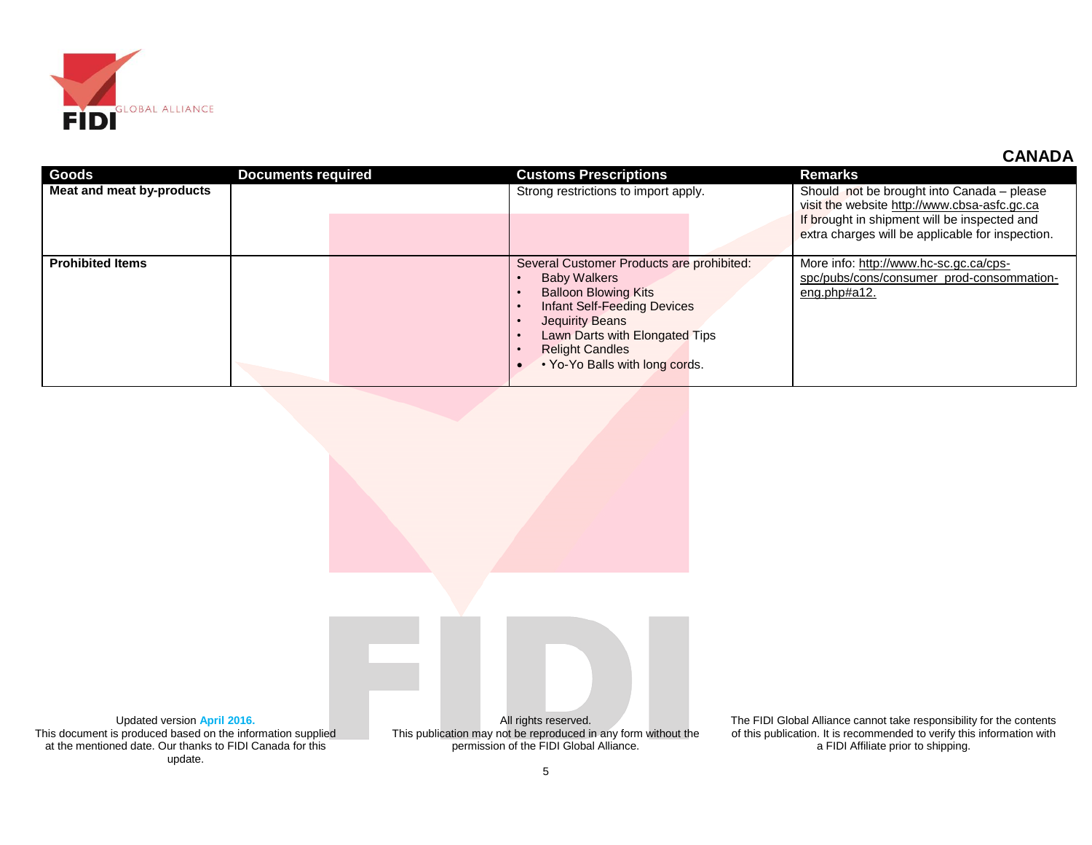

| <b>Goods</b>              | <b>Documents required</b> | <b>Customs Prescriptions</b>                                                                                                                                                                                                                    | <b>Remarks</b>                                                                                                                                                                                 |
|---------------------------|---------------------------|-------------------------------------------------------------------------------------------------------------------------------------------------------------------------------------------------------------------------------------------------|------------------------------------------------------------------------------------------------------------------------------------------------------------------------------------------------|
| Meat and meat by-products |                           | Strong restrictions to import apply.                                                                                                                                                                                                            | Should not be brought into Canada – please<br>visit the website http://www.cbsa-asfc.gc.ca<br>If brought in shipment will be inspected and<br>extra charges will be applicable for inspection. |
| <b>Prohibited Items</b>   |                           | Several Customer Products are prohibited:<br><b>Baby Walkers</b><br><b>Balloon Blowing Kits</b><br>Infant Self-Feeding Devices<br>Jequirity Beans<br>Lawn Darts with Elongated Tips<br><b>Relight Candles</b><br>• Yo-Yo Balls with long cords. | More info: http://www.hc-sc.gc.ca/cps-<br>spc/pubs/cons/consumer prod-consommation-<br>eng.php#a12.                                                                                            |

Updated version **April 2016.** This document is produced based on the information supplied at the mentioned date. Our thanks to FIDI Canada for this update.

All rights reserved. This publication may not be reproduced in any form without the permission of the FIDI Global Alliance.